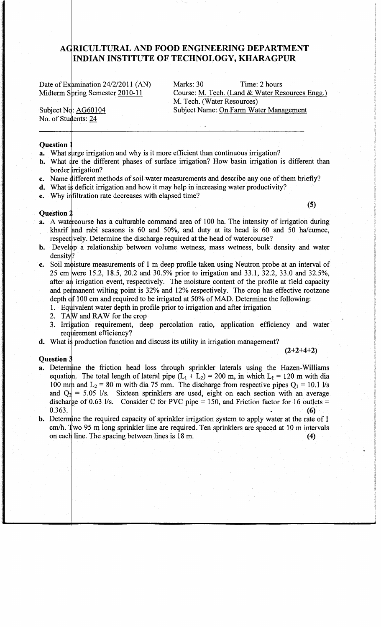# **A RICULTURAL AND FOOD ENGINEERING DEPARTMENT INDIAN INSTITUTE OF TECHNOLOGY, KHARAGPUR**

Date of Examination 24/2/2011 (AN) Marks: 30 Time: 2 hours Midterm Spring Semester 2010-11 Course: M. Tech. (Land & Water Resources Engg.) M. Tech. (Water Resources) Subject Name: On Farm Water Management

Subject No: AG60104 No. of Students: 24

#### **Question**

- a. What surge irrigation and why is it more efficient than continuous irrigation?
- **b.** What are the different phases of surface irrigation? How basin irrigation is different than border irrigation?
- c. Name different methods of soil water measurements and describe any one of them briefly?
- **d.** What is deficit irrigation and how it may help in increasing water productivity?
- e. Why infiltration rate decreases with elapsed time?

**(5)** 

### **Question**

- a. A watercourse has a culturable command area of 100 ha. The intensity of irrigation during kharif and rabi seasons is 60 and 50%, and duty at its head is 60 and 50 ha/cumec, respectively. Determine the discharge required at the head of watercourse?
- **b.** Develop a relationship between volume wetness, mass wetness, bulk density and water density?
- **c.** Soil moisture measurements of 1 m deep profile taken using Neutron probe at an interval of 25 cm were 15.2, 18.5, 20.2 and 30.5% prior to irrigation and 33.1, 32.2, 33.0 and 32.5%, after an irrigation event, respectively. The moisture content of the profile at field capacity and permanent wilting point is 32% and 12% respectively. The crop has effective rootzone depth of 100 cm and required to be irrigated at 50% of MAD. Determine the following:
	- 1. Equivalent water depth in profile prior to irrigation and after irrigation
	- 2. TAW and RAW for the crop
	- 3. Irrigation requirement, deep percolation ratio, application efficiency and water requirement efficiency?
- **d.** What is production function and discuss its utility in irrigation management?

#### **Question**

- a. Determine the friction head loss through sprinkler laterals using the Hazen-Williams equation. The total length of lateral pipe  $(L_1 + L_2) = 200$  m, in which  $L_1 = 120$  m with dia 100 mm and  $L_2 = 80$  m with dia 75 mm. The discharge from respective pipes  $Q_1 = 10.1$  l/s and  $Q_2$  = 5.05 l/s. Sixteen sprinklers are used, eight on each section with an average discharge of 0.63 *Vs.* Consider C for PVC pipe = 150, and Friction factor for 16 outlets =  $0.363.$  (6)
- **b.** Determine the required capacity of sprinkler irrigation system to apply water at the rate of 1 cm/h. Two 95 m long sprinkler line are required. Ten sprinklers are spaced at 10 m intervals on each line. The spacing between lines is  $18 \text{ m}$ .  $\tag{4}$

**(2+2+4+2)**